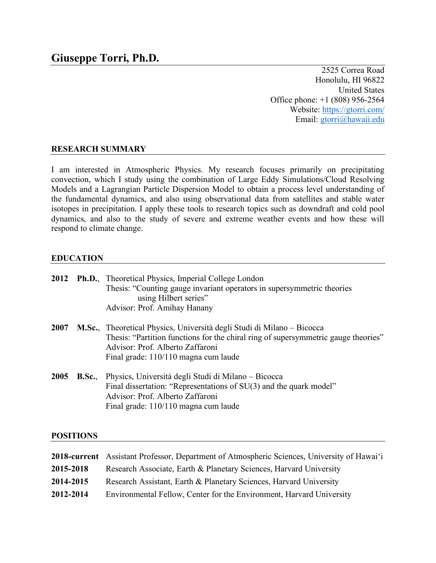2525 Correa Road Honolulu, HI 96822 United States Office phone: +1 (808) 956-2564 Website: https://gtorri.com/ Email: gtorri@hawaii.edu

# **RESEARCH SUMMARY**

I am interested in Atmospheric Physics. My research focuses primarily on precipitating convection, which I study using the combination of Large Eddy Simulations/Cloud Resolving Models and a Lagrangian Particle Dispersion Model to obtain a process level understanding of the fundamental dynamics, and also using observational data from satellites and stable water isotopes in precipitation. I apply these tools to research topics such as downdraft and cold pool dynamics, and also to the study of severe and extreme weather events and how these will respond to climate change.

## **EDUCATION**

|      |       | <b>2012</b> Ph.D., Theoretical Physics, Imperial College London<br>Thesis: "Counting gauge invariant operators in supersymmetric theories<br>using Hilbert series"<br>Advisor: Prof. Amihay Hanany                                       |
|------|-------|------------------------------------------------------------------------------------------------------------------------------------------------------------------------------------------------------------------------------------------|
| 2007 |       | M.Sc., Theoretical Physics, Università degli Studi di Milano – Bicocca<br>Thesis: "Partition functions for the chiral ring of supersymmetric gauge theories"<br>Advisor: Prof. Alberto Zaffaroni<br>Final grade: 110/110 magna cum laude |
| 2005 | B.Sc. | Physics, Università degli Studi di Milano – Bicocca<br>Final dissertation: "Representations of SU(3) and the quark model"<br>Advisor: Prof. Alberto Zaffaroni<br>Final grade: 110/110 magna cum laude                                    |

### **POSITIONS**

|           | <b>2018-current</b> Assistant Professor, Department of Atmospheric Sciences, University of Hawai'i |
|-----------|----------------------------------------------------------------------------------------------------|
| 2015-2018 | Research Associate, Earth & Planetary Sciences, Harvard University                                 |
| 2014-2015 | Research Assistant, Earth & Planetary Sciences, Harvard University                                 |
| 2012-2014 | Environmental Fellow, Center for the Environment, Harvard University                               |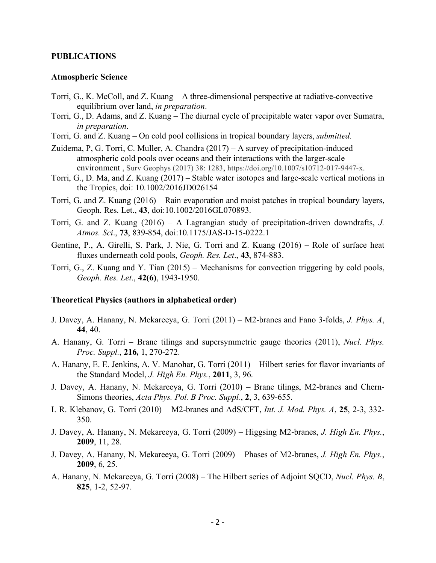#### **PUBLICATIONS**

#### **Atmospheric Science**

- Torri, G., K. McColl, and Z. Kuang A three-dimensional perspective at radiative-convective equilibrium over land, *in preparation*.
- Torri, G., D. Adams, and Z. Kuang The diurnal cycle of precipitable water vapor over Sumatra, *in preparation*.
- Torri, G. and Z. Kuang On cold pool collisions in tropical boundary layers, *submitted.*
- Zuidema, P, G. Torri, C. Muller, A. Chandra (2017) A survey of precipitation-induced atmospheric cold pools over oceans and their interactions with the larger-scale environment , Surv Geophys (2017) 38: 1283, https://doi.org/10.1007/s10712-017-9447-x.
- Torri, G., D. Ma, and Z. Kuang (2017) Stable water isotopes and large-scale vertical motions in the Tropics, doi: 10.1002/2016JD026154
- Torri, G. and Z. Kuang (2016) Rain evaporation and moist patches in tropical boundary layers, Geoph. Res. Let., **43**, doi:10.1002/2016GL070893.
- Torri, G. and Z. Kuang (2016) A Lagrangian study of precipitation-driven downdrafts, *J. Atmos. Sci*., **73**, 839-854, doi:10.1175/JAS-D-15-0222.1
- Gentine, P., A. Girelli, S. Park, J. Nie, G. Torri and Z. Kuang (2016) Role of surface heat fluxes underneath cold pools, *Geoph. Res. Let*., **43**, 874-883.
- Torri, G., Z. Kuang and Y. Tian (2015) Mechanisms for convection triggering by cold pools, *Geoph. Res. Let*., **42(6)**, 1943-1950.

#### **Theoretical Physics (authors in alphabetical order)**

- J. Davey, A. Hanany, N. Mekareeya, G. Torri (2011) M2-branes and Fano 3-folds, *J. Phys. A*, **44**, 40.
- A. Hanany, G. Torri Brane tilings and supersymmetric gauge theories (2011), *Nucl. Phys. Proc. Suppl.*, **216,** 1, 270-272.
- A. Hanany, E. E. Jenkins, A. V. Manohar, G. Torri (2011) Hilbert series for flavor invariants of the Standard Model, *J. High En. Phys.*, **2011**, 3, 96.
- J. Davey, A. Hanany, N. Mekareeya, G. Torri (2010) Brane tilings, M2-branes and Chern-Simons theories, *Acta Phys. Pol. B Proc. Suppl.*, **2**, 3, 639-655.
- I. R. Klebanov, G. Torri (2010) M2-branes and AdS/CFT, *Int. J. Mod. Phys. A*, **25**, 2-3, 332- 350.
- J. Davey, A. Hanany, N. Mekareeya, G. Torri (2009) Higgsing M2-branes, *J. High En. Phys.*, **2009**, 11, 28.
- J. Davey, A. Hanany, N. Mekareeya, G. Torri (2009) Phases of M2-branes, *J. High En. Phys.*, **2009**, 6, 25.
- A. Hanany, N. Mekareeya, G. Torri (2008) The Hilbert series of Adjoint SQCD, *Nucl. Phys. B*, **825**, 1-2, 52-97.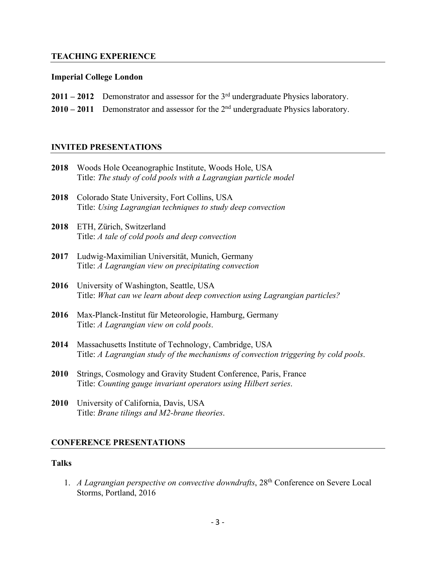## **TEACHING EXPERIENCE**

### **Imperial College London**

- **2011 – 2012** Demonstrator and assessor for the 3rd undergraduate Physics laboratory.
- **2010 – 2011** Demonstrator and assessor for the 2nd undergraduate Physics laboratory.

## **INVITED PRESENTATIONS**

| 2018 | Woods Hole Oceanographic Institute, Woods Hole, USA<br>Title: The study of cold pools with a Lagrangian particle model                       |
|------|----------------------------------------------------------------------------------------------------------------------------------------------|
| 2018 | Colorado State University, Fort Collins, USA<br>Title: Using Lagrangian techniques to study deep convection                                  |
| 2018 | ETH, Zürich, Switzerland<br>Title: A tale of cold pools and deep convection                                                                  |
| 2017 | Ludwig-Maximilian Universität, Munich, Germany<br>Title: A Lagrangian view on precipitating convection                                       |
| 2016 | University of Washington, Seattle, USA<br>Title: What can we learn about deep convection using Lagrangian particles?                         |
| 2016 | Max-Planck-Institut für Meteorologie, Hamburg, Germany<br>Title: A Lagrangian view on cold pools.                                            |
| 2014 | Massachusetts Institute of Technology, Cambridge, USA<br>Title: A Lagrangian study of the mechanisms of convection triggering by cold pools. |

- **2010** Strings, Cosmology and Gravity Student Conference, Paris, France Title: *Counting gauge invariant operators using Hilbert series*.
- **2010** University of California, Davis, USA Title: *Brane tilings and M2-brane theories*.

## **CONFERENCE PRESENTATIONS**

### **Talks**

1. *A Lagrangian perspective on convective downdrafts*, 28<sup>th</sup> Conference on Severe Local Storms, Portland, 2016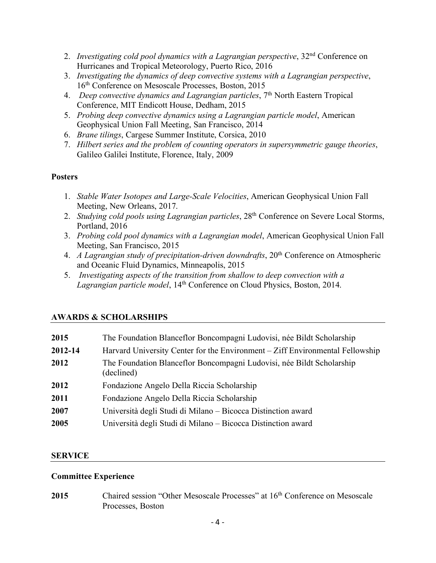- 2. *Investigating cold pool dynamics with a Lagrangian perspective*, 32nd Conference on Hurricanes and Tropical Meteorology, Puerto Rico, 2016
- 3. *Investigating the dynamics of deep convective systems with a Lagrangian perspective*, 16th Conference on Mesoscale Processes, Boston, 2015
- 4. *Deep convective dynamics and Lagrangian particles*, 7<sup>th</sup> North Eastern Tropical Conference, MIT Endicott House, Dedham, 2015
- 5. *Probing deep convective dynamics using a Lagrangian particle model*, American Geophysical Union Fall Meeting, San Francisco, 2014
- 6. *Brane tilings*, Cargese Summer Institute, Corsica, 2010
- 7. *Hilbert series and the problem of counting operators in supersymmetric gauge theories*, Galileo Galilei Institute, Florence, Italy, 2009

## **Posters**

- 1. *Stable Water Isotopes and Large-Scale Velocities*, American Geophysical Union Fall Meeting, New Orleans, 2017.
- 2. *Studying cold pools using Lagrangian particles*, 28th Conference on Severe Local Storms, Portland, 2016
- 3. *Probing cold pool dynamics with a Lagrangian model*, American Geophysical Union Fall Meeting, San Francisco, 2015
- 4. *A Lagrangian study of precipitation-driven downdrafts*, 20<sup>th</sup> Conference on Atmospheric and Oceanic Fluid Dynamics, Minneapolis, 2015
- 5. *Investigating aspects of the transition from shallow to deep convection with a Lagrangian particle model*, 14th Conference on Cloud Physics, Boston, 2014.

## **AWARDS & SCHOLARSHIPS**

| 2015    | The Foundation Blanceflor Boncompagni Ludovisi, née Bildt Scholarship               |
|---------|-------------------------------------------------------------------------------------|
| 2012-14 | Harvard University Center for the Environment – Ziff Environmental Fellowship       |
| 2012    | The Foundation Blanceflor Boncompagni Ludovisi, née Bildt Scholarship<br>(declined) |
| 2012    | Fondazione Angelo Della Riccia Scholarship                                          |
| 2011    | Fondazione Angelo Della Riccia Scholarship                                          |
| 2007    | Università degli Studi di Milano – Bicocca Distinction award                        |
| 2005    | Università degli Studi di Milano – Bicocca Distinction award                        |
|         |                                                                                     |

## **SERVICE**

### **Committee Experience**

2015 Chaired session "Other Mesoscale Processes" at 16<sup>th</sup> Conference on Mesoscale Processes, Boston